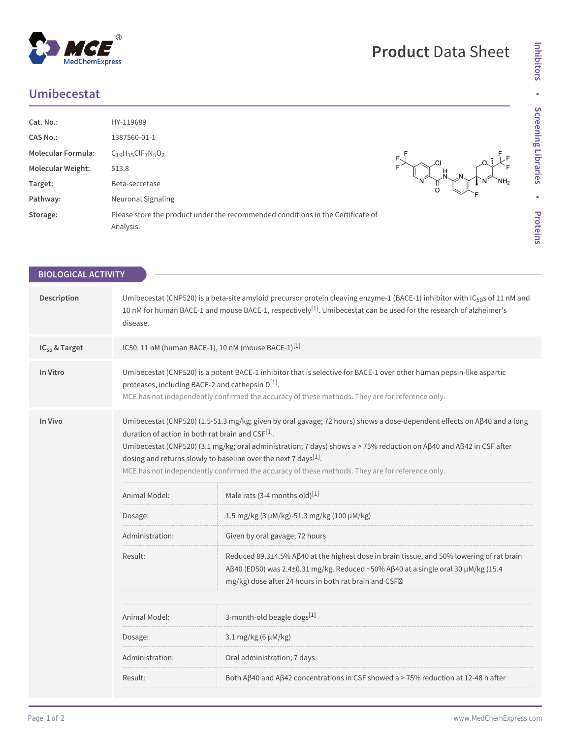## **Product** Data Sheet

## **Umibecestat**

| Cat. No.:<br><b>CAS No.:</b> | HY-119689<br>1387560-01-1                                                                    |                       |
|------------------------------|----------------------------------------------------------------------------------------------|-----------------------|
| <b>Molecular Formula:</b>    | $C_{19}H_{15}CIF_7N_5O_2$                                                                    |                       |
| <b>Molecular Weight:</b>     | 513.8                                                                                        |                       |
| Target:                      | Beta-secretase                                                                               | NH <sub>2</sub><br>'N |
| Pathway:                     | Neuronal Signaling                                                                           |                       |
| Storage:                     | Please store the product under the recommended conditions in the Certificate of<br>Analysis. |                       |

| <b>BIOLOGICAL ACTIVITY</b> |                                                                 |                                                                                                                                                                                                                                                                                                                                                                                                                                  |
|----------------------------|-----------------------------------------------------------------|----------------------------------------------------------------------------------------------------------------------------------------------------------------------------------------------------------------------------------------------------------------------------------------------------------------------------------------------------------------------------------------------------------------------------------|
|                            |                                                                 |                                                                                                                                                                                                                                                                                                                                                                                                                                  |
| Description                | disease.                                                        | Umibecestat (CNP520) is a beta-site amyloid precursor protein cleaving enzyme-1 (BACE-1) inhibitor with IC <sub>50</sub> s of 11 nM and<br>10 nM for human BACE-1 and mouse BACE-1, respectively <sup>[1]</sup> . Umibecestat can be used for the research of alzheimer's                                                                                                                                                        |
| $IC_{50}$ & Target         | IC50: 11 nM (human BACE-1), 10 nM (mouse BACE-1) <sup>[1]</sup> |                                                                                                                                                                                                                                                                                                                                                                                                                                  |
| In Vitro                   | proteases, including BACE-2 and cathepsin D <sup>[1]</sup> .    | Umibecestat (CNP520) is a potent BACE-1 inhibitor that is selective for BACE-1 over other human pepsin-like aspartic<br>MCE has not independently confirmed the accuracy of these methods. They are for reference only.                                                                                                                                                                                                          |
| In Vivo                    | duration of action in both rat brain and $CSF^{[1]}$ .          | Umibecestat (CNP520) (1.5-51.3 mg/kg; given by oral gavage; 72 hours) shows a dose-dependent effects on Aß40 and a long<br>Umibecestat (CNP520) (3.1 mg/kg; oral administration; 7 days) shows a > 75% reduction on Αβ40 and Αβ42 in CSF after<br>dosing and returns slowly to baseline over the next 7 days <sup>[1]</sup> .<br>MCE has not independently confirmed the accuracy of these methods. They are for reference only. |
|                            | Animal Model:                                                   | Male rats (3-4 months old)[1]                                                                                                                                                                                                                                                                                                                                                                                                    |
|                            | Dosage:                                                         | 1.5 mg/kg (3 μM/kg)-51.3 mg/kg (100 μM/kg)                                                                                                                                                                                                                                                                                                                                                                                       |
|                            | Administration:                                                 | Given by oral gavage; 72 hours                                                                                                                                                                                                                                                                                                                                                                                                   |
|                            | Result:                                                         | Reduced 89.3±4.5% Aβ40 at the highest dose in brain tissue, and 50% lowering of rat brain<br>Aβ40 (ED50) was 2.4±0.31 mg/kg. Reduced ~50% Aβ40 at a single oral 30 μM/kg (15.4<br>mg/kg) dose after 24 hours in both rat brain and CSFM                                                                                                                                                                                          |
|                            | Animal Model:                                                   | 3-month-old beagle dogs[1]                                                                                                                                                                                                                                                                                                                                                                                                       |
|                            | Dosage:                                                         | 3.1 mg/kg (6 µM/kg)                                                                                                                                                                                                                                                                                                                                                                                                              |
|                            | Administration:                                                 | Oral administration; 7 days                                                                                                                                                                                                                                                                                                                                                                                                      |
|                            | Result:                                                         | Both Aβ40 and Aβ42 concentrations in CSF showed a > 75% reduction at 12-48 h after                                                                                                                                                                                                                                                                                                                                               |
|                            |                                                                 |                                                                                                                                                                                                                                                                                                                                                                                                                                  |